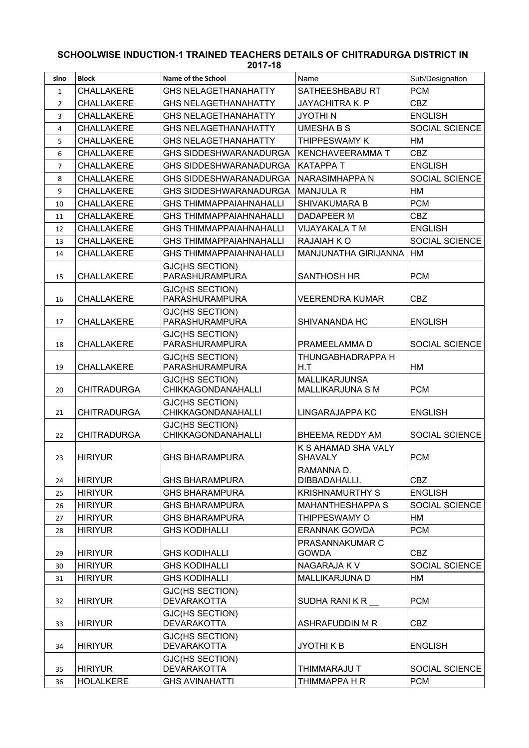## **SCHOOLWISE INDUCTION-1 TRAINED TEACHERS DETAILS OF CHITRADURGA DISTRICT IN 2017-18**

| slno           | <b>Block</b>       | Name of the School                                  | Name                                     | Sub/Designation       |
|----------------|--------------------|-----------------------------------------------------|------------------------------------------|-----------------------|
| $\mathbf{1}$   | <b>CHALLAKERE</b>  | <b>GHS NELAGETHANAHATTY</b>                         | SATHEESHBABU RT                          | <b>PCM</b>            |
| $\overline{2}$ | <b>CHALLAKERE</b>  | <b>GHS NELAGETHANAHATTY</b>                         | <b>JAYACHITRA K. P</b>                   | <b>CBZ</b>            |
| 3              | CHALLAKERE         | <b>GHS NELAGETHANAHATTY</b>                         | <b>JYOTHIN</b>                           | <b>ENGLISH</b>        |
| 4              | <b>CHALLAKERE</b>  | <b>GHS NELAGETHANAHATTY</b>                         | <b>UMESHA B S</b>                        | SOCIAL SCIENCE        |
| 5              | <b>CHALLAKERE</b>  | <b>GHS NELAGETHANAHATTY</b>                         | THIPPESWAMY K                            | HM                    |
| 6              | <b>CHALLAKERE</b>  | <b>GHS SIDDESHWARANADURGA</b>                       | <b>KENCHAVEERAMMA T</b>                  | <b>CBZ</b>            |
| $\overline{7}$ | <b>CHALLAKERE</b>  | <b>GHS SIDDESHWARANADURGA</b>                       | <b>KATAPPAT</b>                          | <b>ENGLISH</b>        |
| 8              | <b>CHALLAKERE</b>  | <b>GHS SIDDESHWARANADURGA</b>                       | NARASIMHAPPA N                           | <b>SOCIAL SCIENCE</b> |
| 9              | <b>CHALLAKERE</b>  | GHS SIDDESHWARANADURGA                              | <b>MANJULA R</b>                         | HM                    |
| 10             | <b>CHALLAKERE</b>  | <b>GHS THIMMAPPAIAHNAHALLI</b>                      | SHIVAKUMARA B                            | <b>PCM</b>            |
| 11             | <b>CHALLAKERE</b>  | <b>GHS THIMMAPPAIAHNAHALLI</b>                      | <b>DADAPEER M</b>                        | <b>CBZ</b>            |
| 12             | <b>CHALLAKERE</b>  | <b>GHS THIMMAPPAIAHNAHALLI</b>                      | VIJAYAKALA T M                           | <b>ENGLISH</b>        |
| 13             | <b>CHALLAKERE</b>  | <b>GHS THIMMAPPAIAHNAHALLI</b>                      | RAJAIAH KO                               | <b>SOCIAL SCIENCE</b> |
| 14             | <b>CHALLAKERE</b>  | <b>GHS THIMMAPPAIAHNAHALLI</b>                      | <b>MANJUNATHA GIRIJANNA</b>              | HM                    |
|                |                    | GJC(HS SECTION)                                     |                                          |                       |
| 15             | <b>CHALLAKERE</b>  | PARASHURAMPURA                                      | <b>SANTHOSH HR</b>                       | <b>PCM</b>            |
|                |                    | GJC(HS SECTION)<br>PARASHURAMPURA                   |                                          |                       |
| 16             | <b>CHALLAKERE</b>  |                                                     | <b>VEERENDRA KUMAR</b>                   | CBZ                   |
| 17             | <b>CHALLAKERE</b>  | GJC(HS SECTION)<br>PARASHURAMPURA                   | SHIVANANDA HC                            | <b>ENGLISH</b>        |
|                |                    | <b>GJC(HS SECTION)</b>                              |                                          |                       |
| 18             | <b>CHALLAKERE</b>  | PARASHURAMPURA                                      | PRAMEELAMMA D                            | SOCIAL SCIENCE        |
| 19             | <b>CHALLAKERE</b>  | GJC(HS SECTION)<br>PARASHURAMPURA                   | THUNGABHADRAPPA H<br>H.T                 | HM                    |
| 20             | <b>CHITRADURGA</b> | GJC(HS SECTION)<br>CHIKKAGONDANAHALLI               | <b>MALLIKARJUNSA</b><br>MALLIKARJUNA S M | <b>PCM</b>            |
| 21             | <b>CHITRADURGA</b> | GJC(HS SECTION)<br><b>CHIKKAGONDANAHALLI</b>        | LINGARAJAPPA KC                          | <b>ENGLISH</b>        |
| 22             | <b>CHITRADURGA</b> | <b>GJC(HS SECTION)</b><br><b>CHIKKAGONDANAHALLI</b> | BHEEMA REDDY AM                          | SOCIAL SCIENCE        |
|                |                    |                                                     | K S AHAMAD SHA VALY                      |                       |
| 23             | <b>HIRIYUR</b>     | <b>GHS BHARAMPURA</b>                               | <b>SHAVALY</b>                           | <b>PCM</b>            |
| 24             | <b>HIRIYUR</b>     | <b>GHS BHARAMPURA</b>                               | RAMANNA D.<br>DIBBADAHALLI.              | <b>CBZ</b>            |
| 25             | <b>HIRIYUR</b>     | <b>GHS BHARAMPURA</b>                               | <b>KRISHNAMURTHY S</b>                   | <b>ENGLISH</b>        |
| 26             | <b>HIRIYUR</b>     | <b>GHS BHARAMPURA</b>                               | <b>MAHANTHESHAPPA S</b>                  | SOCIAL SCIENCE        |
| 27             | <b>HIRIYUR</b>     | <b>GHS BHARAMPURA</b>                               | THIPPESWAMY O                            | HM                    |
| 28             | <b>HIRIYUR</b>     | <b>GHS KODIHALLI</b>                                | <b>ERANNAK GOWDA</b>                     | <b>PCM</b>            |
|                |                    |                                                     | PRASANNAKUMAR C                          |                       |
| 29             | <b>HIRIYUR</b>     | <b>GHS KODIHALLI</b>                                | <b>GOWDA</b>                             | <b>CBZ</b>            |
| 30             | <b>HIRIYUR</b>     | <b>GHS KODIHALLI</b>                                | NAGARAJA K V                             | SOCIAL SCIENCE        |
| 31             | <b>HIRIYUR</b>     | <b>GHS KODIHALLI</b>                                | <b>MALLIKARJUNA D</b>                    | HM                    |
| 32             | <b>HIRIYUR</b>     | GJC(HS SECTION)<br><b>DEVARAKOTTA</b>               | SUDHA RANIKR                             | <b>PCM</b>            |
| 33             | <b>HIRIYUR</b>     | GJC(HS SECTION)<br><b>DEVARAKOTTA</b>               | ASHRAFUDDIN M R                          | <b>CBZ</b>            |
| 34             | <b>HIRIYUR</b>     | GJC(HS SECTION)<br><b>DEVARAKOTTA</b>               | JYOTHI K B                               | <b>ENGLISH</b>        |
|                |                    | GJC(HS SECTION)                                     |                                          |                       |
| 35             | <b>HIRIYUR</b>     | <b>DEVARAKOTTA</b>                                  | THIMMARAJU T                             | SOCIAL SCIENCE        |
| 36             | <b>HOLALKERE</b>   | <b>GHS AVINAHATTI</b>                               | THIMMAPPA H R                            | <b>PCM</b>            |